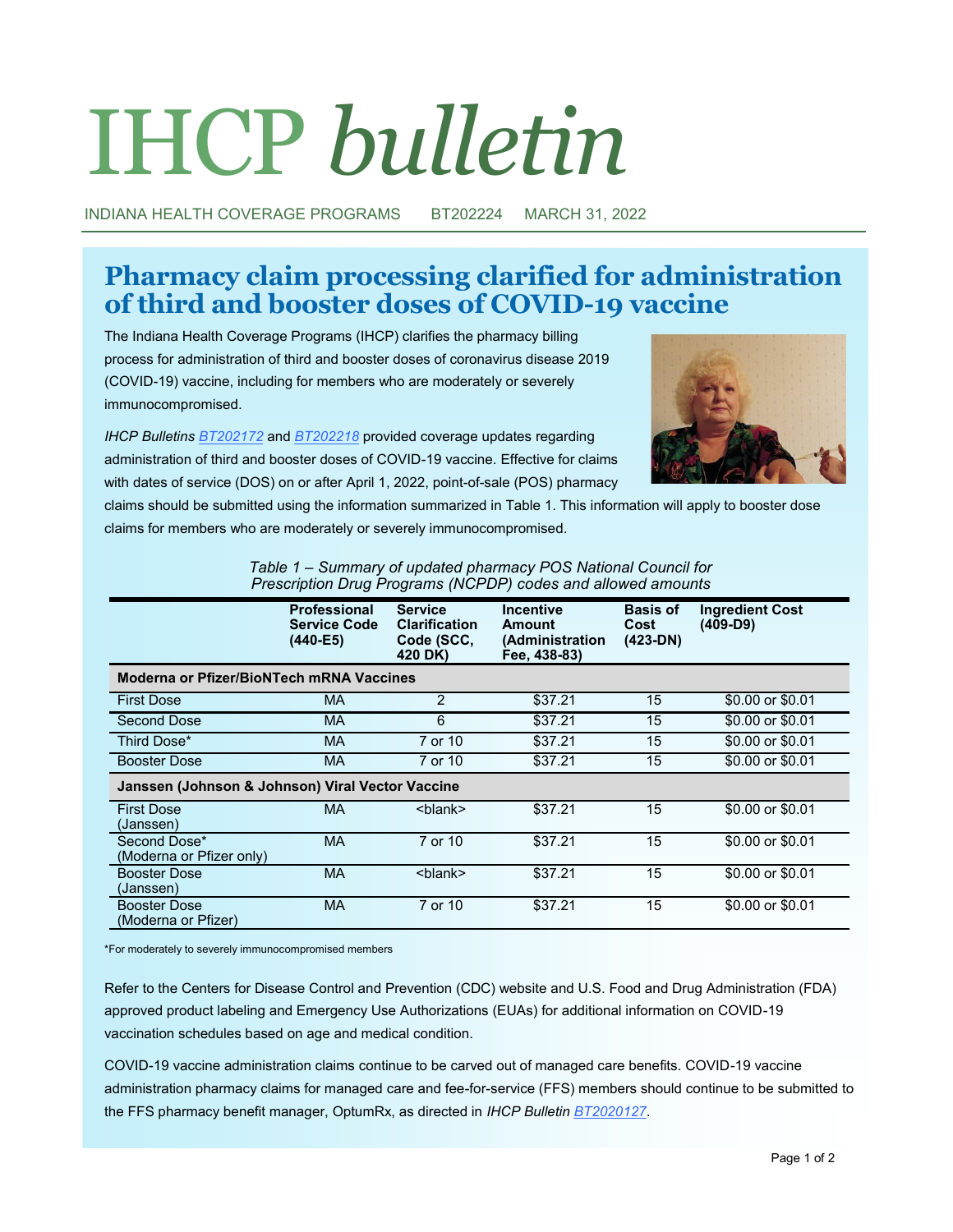# IHCP *bulletin*

INDIANA HEALTH COVERAGE PROGRAMS BT202224 MARCH 31, 2022

# **Pharmacy claim processing clarified for administration of third and booster doses of COVID-19 vaccine**

The Indiana Health Coverage Programs (IHCP) clarifies the pharmacy billing process for administration of third and booster doses of coronavirus disease 2019 (COVID-19) vaccine, including for members who are moderately or severely immunocompromised.

*IHCP Bulletins [BT202172](http://provider.indianamedicaid.com/ihcp/Bulletins/BT202172.pdf)* and *[BT202218](http://provider.indianamedicaid.com/ihcp/Bulletins/BT202218.pdf)* provided coverage updates regarding administration of third and booster doses of COVID-19 vaccine. Effective for claims with dates of service (DOS) on or after April 1, 2022, point-of-sale (POS) pharmacy



claims should be submitted using the information summarized in Table 1. This information will apply to booster dose claims for members who are moderately or severely immunocompromised.

|                                                  | <b>Professional</b><br><b>Service Code</b><br>(440-E5) | <b>Service</b><br><b>Clarification</b><br>Code (SCC,<br>420 DK) | <b>Incentive</b><br>Amount<br>(Administration<br>Fee, 438-83) | <b>Basis of</b><br>Cost<br>$(423-DN)$ | <b>Ingredient Cost</b><br>$(409-D9)$ |  |  |
|--------------------------------------------------|--------------------------------------------------------|-----------------------------------------------------------------|---------------------------------------------------------------|---------------------------------------|--------------------------------------|--|--|
| <b>Moderna or Pfizer/BioNTech mRNA Vaccines</b>  |                                                        |                                                                 |                                                               |                                       |                                      |  |  |
| <b>First Dose</b>                                | MA.                                                    | 2                                                               | \$37.21                                                       | 15                                    | \$0.00 or \$0.01                     |  |  |
| <b>Second Dose</b>                               | <b>MA</b>                                              | 6                                                               | \$37.21                                                       | 15                                    | \$0.00 or \$0.01                     |  |  |
| Third Dose*                                      | MA.                                                    | 7 or 10                                                         | \$37.21                                                       | 15                                    | \$0.00 or \$0.01                     |  |  |
| <b>Booster Dose</b>                              | MA.                                                    | 7 or 10                                                         | \$37.21                                                       | 15                                    | \$0.00 or \$0.01                     |  |  |
| Janssen (Johnson & Johnson) Viral Vector Vaccine |                                                        |                                                                 |                                                               |                                       |                                      |  |  |
| <b>First Dose</b><br>(Janssen)                   | <b>MA</b>                                              | <blank></blank>                                                 | \$37.21                                                       | 15                                    | \$0.00 or \$0.01                     |  |  |
| Second Dose*<br>(Moderna or Pfizer only)         | <b>MA</b>                                              | 7 or 10                                                         | \$37.21                                                       | 15                                    | \$0.00 or \$0.01                     |  |  |
| <b>Booster Dose</b><br>(Janssen)                 | <b>MA</b>                                              | <blank></blank>                                                 | \$37.21                                                       | 15                                    | \$0.00 or \$0.01                     |  |  |
| <b>Booster Dose</b><br>(Moderna or Pfizer)       | <b>MA</b>                                              | 7 or 10                                                         | \$37.21                                                       | 15                                    | \$0.00 or \$0.01                     |  |  |

| Table 1 – Summary of updated pharmacy POS National Council for |  |  |
|----------------------------------------------------------------|--|--|
| Prescription Drug Programs (NCPDP) codes and allowed amounts   |  |  |

\*For moderately to severely immunocompromised members

Refer to the Centers for Disease Control and Prevention (CDC) website and U.S. Food and Drug Administration (FDA) approved product labeling and Emergency Use Authorizations (EUAs) for additional information on COVID-19 vaccination schedules based on age and medical condition.

COVID-19 vaccine administration claims continue to be carved out of managed care benefits. COVID-19 vaccine administration pharmacy claims for managed care and fee-for-service (FFS) members should continue to be submitted to the FFS pharmacy benefit manager, OptumRx, as directed in *IHCP Bulletin [BT2020127](http://provider.indianamedicaid.com/ihcp/Bulletins/BT2020127.pdf)*.